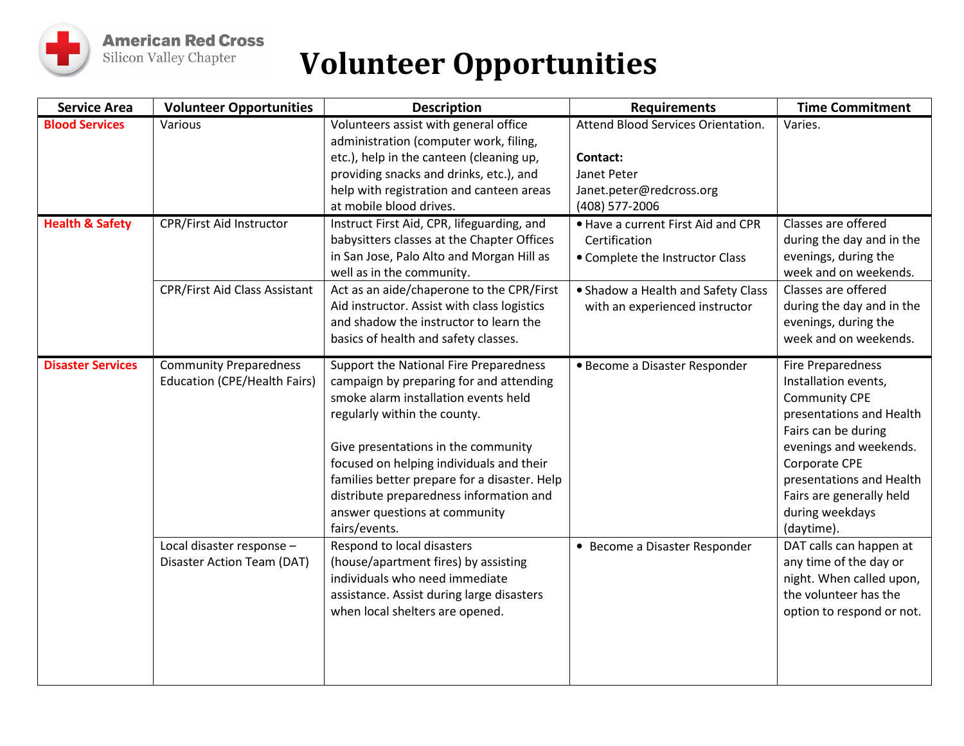

## Volunteer Opportunities

| <b>Service Area</b>        | <b>Volunteer Opportunities</b>                                                                                                  | <b>Description</b>                                                                                                                                                                                                                                                                                                                                                                                                                                              | <b>Requirements</b>                                                                                           | <b>Time Commitment</b>                                                                                                                                                                                                                                                              |
|----------------------------|---------------------------------------------------------------------------------------------------------------------------------|-----------------------------------------------------------------------------------------------------------------------------------------------------------------------------------------------------------------------------------------------------------------------------------------------------------------------------------------------------------------------------------------------------------------------------------------------------------------|---------------------------------------------------------------------------------------------------------------|-------------------------------------------------------------------------------------------------------------------------------------------------------------------------------------------------------------------------------------------------------------------------------------|
| <b>Blood Services</b>      | Various                                                                                                                         | Volunteers assist with general office<br>administration (computer work, filing,<br>etc.), help in the canteen (cleaning up,<br>providing snacks and drinks, etc.), and<br>help with registration and canteen areas<br>at mobile blood drives.                                                                                                                                                                                                                   | Attend Blood Services Orientation.<br>Contact:<br>Janet Peter<br>Janet.peter@redcross.org<br>$(408)$ 577-2006 | Varies.                                                                                                                                                                                                                                                                             |
| <b>Health &amp; Safety</b> | <b>CPR/First Aid Instructor</b>                                                                                                 | Instruct First Aid, CPR, lifeguarding, and<br>babysitters classes at the Chapter Offices<br>in San Jose, Palo Alto and Morgan Hill as<br>well as in the community.                                                                                                                                                                                                                                                                                              | . Have a current First Aid and CPR<br>Certification<br>• Complete the Instructor Class                        | Classes are offered<br>during the day and in the<br>evenings, during the<br>week and on weekends.                                                                                                                                                                                   |
|                            | <b>CPR/First Aid Class Assistant</b>                                                                                            | Act as an aide/chaperone to the CPR/First<br>Aid instructor. Assist with class logistics<br>and shadow the instructor to learn the<br>basics of health and safety classes.                                                                                                                                                                                                                                                                                      | • Shadow a Health and Safety Class<br>with an experienced instructor                                          | Classes are offered<br>during the day and in the<br>evenings, during the<br>week and on weekends.                                                                                                                                                                                   |
| <b>Disaster Services</b>   | <b>Community Preparedness</b><br><b>Education (CPE/Health Fairs)</b><br>Local disaster response -<br>Disaster Action Team (DAT) | Support the National Fire Preparedness<br>campaign by preparing for and attending<br>smoke alarm installation events held<br>regularly within the county.<br>Give presentations in the community<br>focused on helping individuals and their<br>families better prepare for a disaster. Help<br>distribute preparedness information and<br>answer questions at community<br>fairs/events.<br>Respond to local disasters<br>(house/apartment fires) by assisting | • Become a Disaster Responder<br>• Become a Disaster Responder                                                | Fire Preparedness<br>Installation events,<br><b>Community CPE</b><br>presentations and Health<br>Fairs can be during<br>evenings and weekends.<br>Corporate CPE<br>presentations and Health<br>Fairs are generally held<br>during weekdays<br>(daytime).<br>DAT calls can happen at |
|                            |                                                                                                                                 | individuals who need immediate<br>assistance. Assist during large disasters<br>when local shelters are opened.                                                                                                                                                                                                                                                                                                                                                  |                                                                                                               | any time of the day or<br>night. When called upon,<br>the volunteer has the<br>option to respond or not.                                                                                                                                                                            |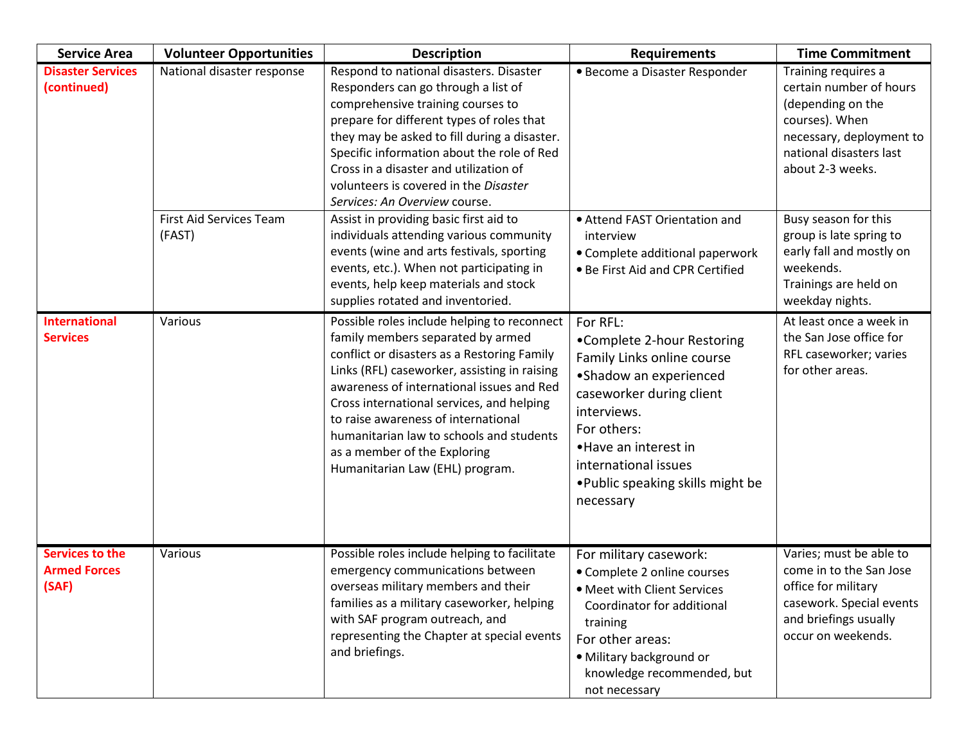| <b>Service Area</b>                                    | <b>Volunteer Opportunities</b>    | <b>Description</b>                                                                                                                                                                                                                                                                                                                                                                                                              | <b>Requirements</b>                                                                                                                                                                                                                                         | <b>Time Commitment</b>                                                                                                                                           |
|--------------------------------------------------------|-----------------------------------|---------------------------------------------------------------------------------------------------------------------------------------------------------------------------------------------------------------------------------------------------------------------------------------------------------------------------------------------------------------------------------------------------------------------------------|-------------------------------------------------------------------------------------------------------------------------------------------------------------------------------------------------------------------------------------------------------------|------------------------------------------------------------------------------------------------------------------------------------------------------------------|
| <b>Disaster Services</b><br>(continued)                | National disaster response        | Respond to national disasters. Disaster<br>Responders can go through a list of<br>comprehensive training courses to<br>prepare for different types of roles that<br>they may be asked to fill during a disaster.<br>Specific information about the role of Red<br>Cross in a disaster and utilization of<br>volunteers is covered in the Disaster<br>Services: An Overview course.                                              | · Become a Disaster Responder                                                                                                                                                                                                                               | Training requires a<br>certain number of hours<br>(depending on the<br>courses). When<br>necessary, deployment to<br>national disasters last<br>about 2-3 weeks. |
|                                                        | First Aid Services Team<br>(FAST) | Assist in providing basic first aid to<br>individuals attending various community<br>events (wine and arts festivals, sporting<br>events, etc.). When not participating in<br>events, help keep materials and stock<br>supplies rotated and inventoried.                                                                                                                                                                        | • Attend FAST Orientation and<br>interview<br>• Complete additional paperwork<br>• Be First Aid and CPR Certified                                                                                                                                           | Busy season for this<br>group is late spring to<br>early fall and mostly on<br>weekends.<br>Trainings are held on<br>weekday nights.                             |
| <b>International</b><br><b>Services</b>                | Various                           | Possible roles include helping to reconnect<br>family members separated by armed<br>conflict or disasters as a Restoring Family<br>Links (RFL) caseworker, assisting in raising<br>awareness of international issues and Red<br>Cross international services, and helping<br>to raise awareness of international<br>humanitarian law to schools and students<br>as a member of the Exploring<br>Humanitarian Law (EHL) program. | For RFL:<br>•Complete 2-hour Restoring<br>Family Links online course<br>•Shadow an experienced<br>caseworker during client<br>interviews.<br>For others:<br>• Have an interest in<br>international issues<br>• Public speaking skills might be<br>necessary | At least once a week in<br>the San Jose office for<br>RFL caseworker; varies<br>for other areas.                                                                 |
| <b>Services to the</b><br><b>Armed Forces</b><br>(SAF) | Various                           | Possible roles include helping to facilitate<br>emergency communications between<br>overseas military members and their<br>families as a military caseworker, helping<br>with SAF program outreach, and<br>representing the Chapter at special events<br>and briefings.                                                                                                                                                         | For military casework:<br>• Complete 2 online courses<br>· Meet with Client Services<br>Coordinator for additional<br>training<br>For other areas:<br>· Military background or<br>knowledge recommended, but<br>not necessary                               | Varies; must be able to<br>come in to the San Jose<br>office for military<br>casework. Special events<br>and briefings usually<br>occur on weekends.             |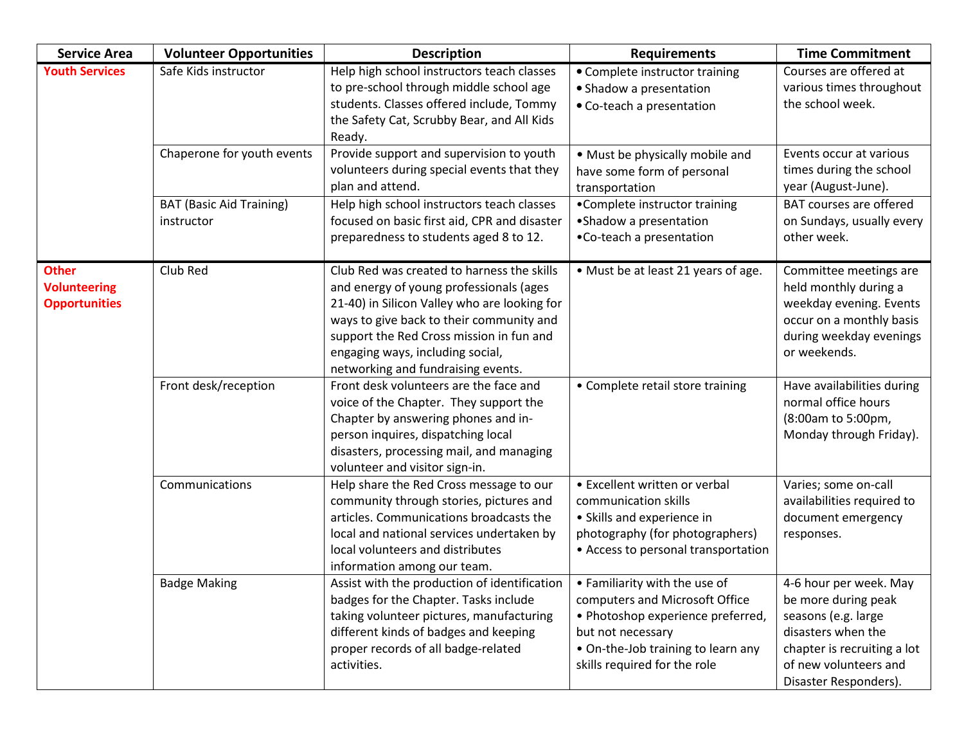| <b>Service Area</b>                                         | <b>Volunteer Opportunities</b>                | <b>Description</b>                                                                                                                                                                                                                                                                                      | <b>Requirements</b>                                                                                                                                                                             | <b>Time Commitment</b>                                                                                                                                                      |
|-------------------------------------------------------------|-----------------------------------------------|---------------------------------------------------------------------------------------------------------------------------------------------------------------------------------------------------------------------------------------------------------------------------------------------------------|-------------------------------------------------------------------------------------------------------------------------------------------------------------------------------------------------|-----------------------------------------------------------------------------------------------------------------------------------------------------------------------------|
| <b>Youth Services</b>                                       | Safe Kids instructor                          | Help high school instructors teach classes<br>to pre-school through middle school age<br>students. Classes offered include, Tommy<br>the Safety Cat, Scrubby Bear, and All Kids<br>Ready.                                                                                                               | • Complete instructor training<br>• Shadow a presentation<br>• Co-teach a presentation                                                                                                          | Courses are offered at<br>various times throughout<br>the school week.                                                                                                      |
|                                                             | Chaperone for youth events                    | Provide support and supervision to youth<br>volunteers during special events that they<br>plan and attend.                                                                                                                                                                                              | • Must be physically mobile and<br>have some form of personal<br>transportation                                                                                                                 | Events occur at various<br>times during the school<br>year (August-June).                                                                                                   |
|                                                             | <b>BAT (Basic Aid Training)</b><br>instructor | Help high school instructors teach classes<br>focused on basic first aid, CPR and disaster<br>preparedness to students aged 8 to 12.                                                                                                                                                                    | •Complete instructor training<br>•Shadow a presentation<br>.Co-teach a presentation                                                                                                             | <b>BAT courses are offered</b><br>on Sundays, usually every<br>other week.                                                                                                  |
| <b>Other</b><br><b>Volunteering</b><br><b>Opportunities</b> | Club Red                                      | Club Red was created to harness the skills<br>and energy of young professionals (ages<br>21-40) in Silicon Valley who are looking for<br>ways to give back to their community and<br>support the Red Cross mission in fun and<br>engaging ways, including social,<br>networking and fundraising events. | • Must be at least 21 years of age.                                                                                                                                                             | Committee meetings are<br>held monthly during a<br>weekday evening. Events<br>occur on a monthly basis<br>during weekday evenings<br>or weekends.                           |
|                                                             | Front desk/reception                          | Front desk volunteers are the face and<br>voice of the Chapter. They support the<br>Chapter by answering phones and in-<br>person inquires, dispatching local<br>disasters, processing mail, and managing<br>volunteer and visitor sign-in.                                                             | • Complete retail store training                                                                                                                                                                | Have availabilities during<br>normal office hours<br>(8:00am to 5:00pm,<br>Monday through Friday).                                                                          |
|                                                             | Communications                                | Help share the Red Cross message to our<br>community through stories, pictures and<br>articles. Communications broadcasts the<br>local and national services undertaken by<br>local volunteers and distributes<br>information among our team.                                                           | • Excellent written or verbal<br>communication skills<br>• Skills and experience in<br>photography (for photographers)<br>• Access to personal transportation                                   | Varies; some on-call<br>availabilities required to<br>document emergency<br>responses.                                                                                      |
|                                                             | <b>Badge Making</b>                           | Assist with the production of identification<br>badges for the Chapter. Tasks include<br>taking volunteer pictures, manufacturing<br>different kinds of badges and keeping<br>proper records of all badge-related<br>activities.                                                                        | • Familiarity with the use of<br>computers and Microsoft Office<br>• Photoshop experience preferred,<br>but not necessary<br>• On-the-Job training to learn any<br>skills required for the role | 4-6 hour per week. May<br>be more during peak<br>seasons (e.g. large<br>disasters when the<br>chapter is recruiting a lot<br>of new volunteers and<br>Disaster Responders). |